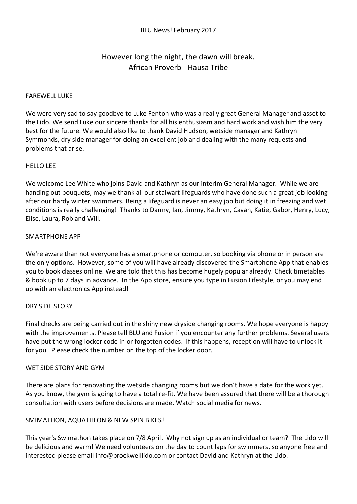# However long the night, the dawn will break. African Proverb - Hausa Tribe

## FAREWELL LUKE

We were very sad to say goodbye to Luke Fenton who was a really great General Manager and asset to the Lido. We send Luke our sincere thanks for all his enthusiasm and hard work and wish him the very best for the future. We would also like to thank David Hudson, wetside manager and Kathryn Symmonds, dry side manager for doing an excellent job and dealing with the many requests and problems that arise.

## HELLO LEE

We welcome Lee White who joins David and Kathryn as our interim General Manager. While we are handing out bouquets, may we thank all our stalwart lifeguards who have done such a great job looking after our hardy winter swimmers. Being a lifeguard is never an easy job but doing it in freezing and wet conditions is really challenging! Thanks to Danny, Ian, Jimmy, Kathryn, Cavan, Katie, Gabor, Henry, Lucy, Elise, Laura, Rob and Will.

## SMARTPHONE APP

We're aware than not everyone has a smartphone or computer, so booking via phone or in person are the only options. However, some of you will have already discovered the Smartphone App that enables you to book classes online. We are told that this has become hugely popular already. Check timetables & book up to 7 days in advance. In the App store, ensure you type in Fusion Lifestyle, or you may end up with an electronics App instead!

## DRY SIDE STORY

Final checks are being carried out in the shiny new dryside changing rooms. We hope everyone is happy with the improvements. Please tell BLU and Fusion if you encounter any further problems. Several users have put the wrong locker code in or forgotten codes. If this happens, reception will have to unlock it for you. Please check the number on the top of the locker door.

## WET SIDE STORY AND GYM

There are plans for renovating the wetside changing rooms but we don't have a date for the work yet. As you know, the gym is going to have a total re-fit. We have been assured that there will be a thorough consultation with users before decisions are made. Watch social media for news.

# SMIMATHON, AQUATHLON & NEW SPIN BIKES!

This year's Swimathon takes place on 7/8 April. Why not sign up as an individual or team? The Lido will be delicious and warm! We need volunteers on the day to count laps for swimmers, so anyone free and interested please email info@brockwelllido.com or contact David and Kathryn at the Lido.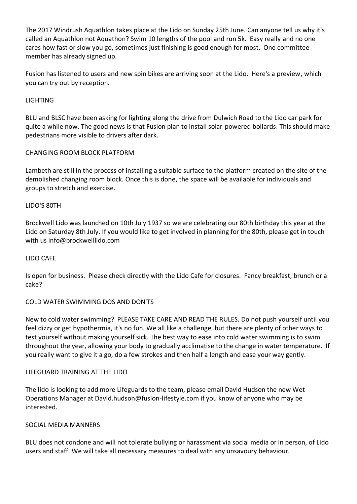The 2017 Windrush Aquathlon takes place at the Lido on Sunday 25th June. Can anyone tell us why it's called an Aquathlon not Aquathon? Swim 10 lengths of the pool and run 5k. Easy really and no one cares how fast or slow you go, sometimes just finishing is good enough for most. One committee member has already signed up.

Fusion has listened to users and new spin bikes are arriving soon at the Lido. Here's a preview, which you can try out by reception.

# LIGHTING

BLU and BLSC have been asking for lighting along the drive from Dulwich Road to the Lido car park for quite a while now. The good news is that Fusion plan to install solar-powered bollards. This should make pedestrians more visible to drivers after dark.

## CHANGING ROOM BLOCK PLATFORM

Lambeth are still in the process of installing a suitable surface to the platform created on the site of the demolished changing room block. Once this is done, the space will be available for individuals and groups to stretch and exercise.

## LIDO'S 80TH

Brockwell Lido was launched on 10th July 1937 so we are celebrating our 80th birthday this year at the Lido on Saturday 8th July. If you would like to get involved in planning for the 80th, please get in touch with us info@brockwelllido.com

## LIDO CAFE

Is open for business. Please check directly with the Lido Cafe for closures. Fancy breakfast, brunch or a cake?

## COLD WATER SWIMMING DOS AND DON'TS

New to cold water swimming? PLEASE TAKE CARE AND READ THE RULES. Do not push yourself until you feel dizzy or get hypothermia, it's no fun. We all like a challenge, but there are plenty of other ways to test yourself without making yourself sick. The best way to ease into cold water swimming is to swim throughout the year, allowing your body to gradually acclimatise to the change in water temperature. If you really want to give it a go, do a few strokes and then half a length and ease your way gently.

## LIFEGUARD TRAINING AT THE LIDO

The lido is looking to add more Lifeguards to the team, please email David Hudson the new Wet Operations Manager at David.hudson@fusion-lifestyle.com if you know of anyone who may be interested.

## SOCIAL MEDIA MANNERS

BLU does not condone and will not tolerate bullying or harassment via social media or in person, of Lido users and staff. We will take all necessary measures to deal with any unsavoury behaviour.